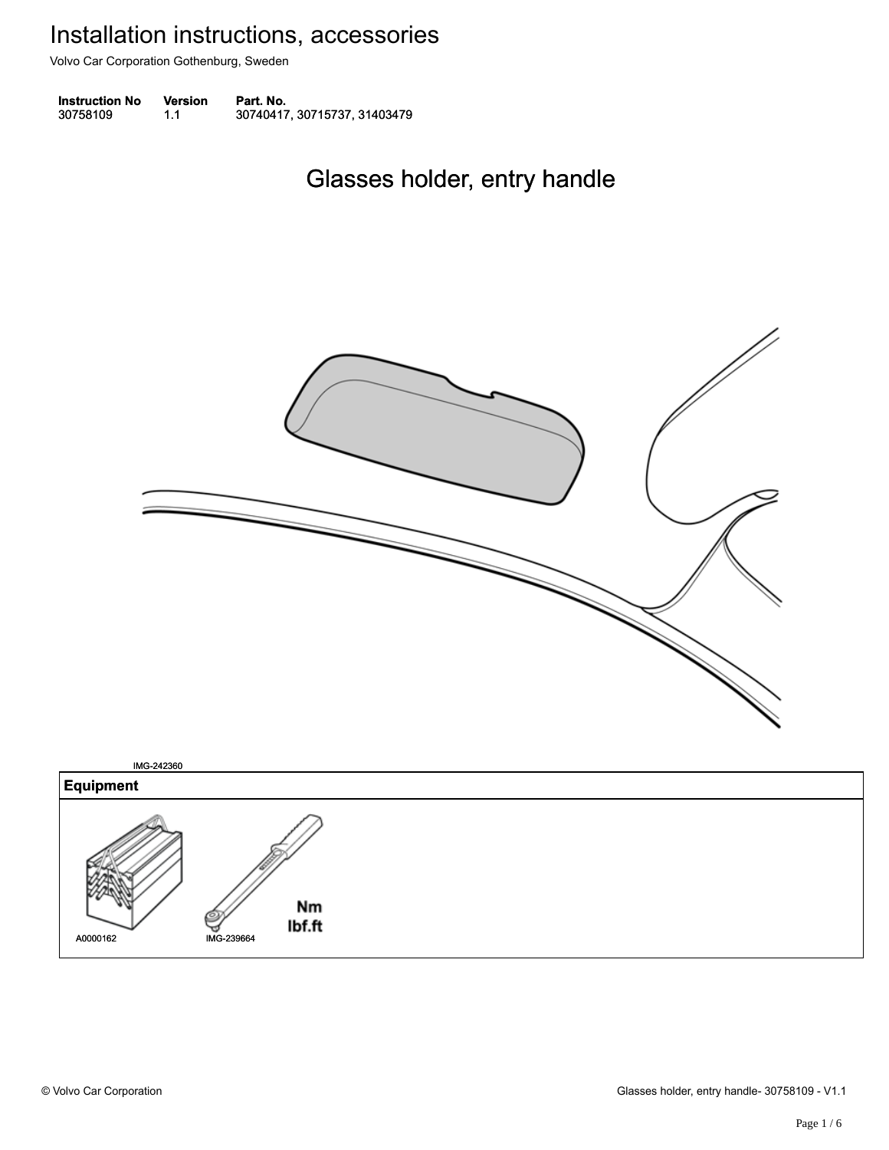Volvo Car Corporation Gothenburg, Sweden

| <b>Instruction No</b> | <b>Version</b> | Part. No.                    |
|-----------------------|----------------|------------------------------|
| 30758109              | 1.1            | 30740417, 30715737, 31403479 |

### Glasses holder, entry handle Glasses holder, entry handle



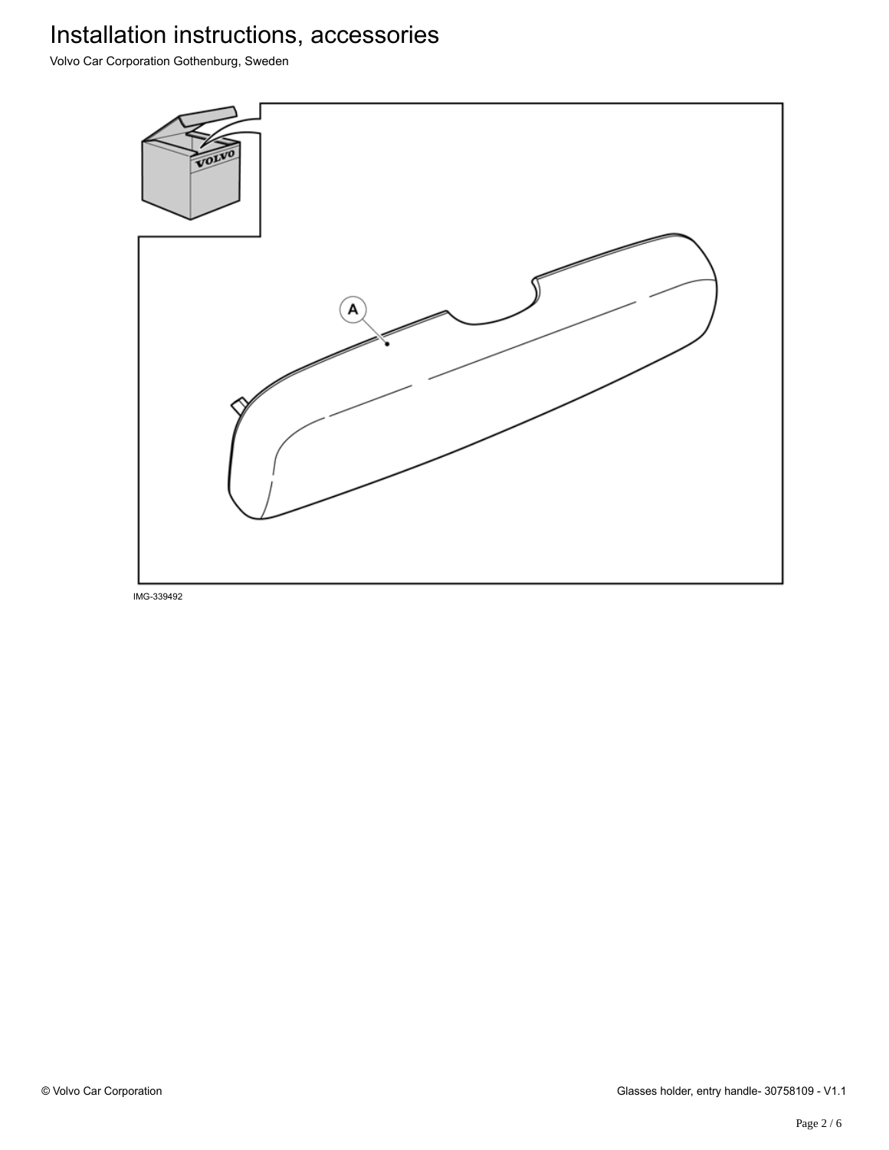Volvo Car Corporation Gothenburg, Sweden

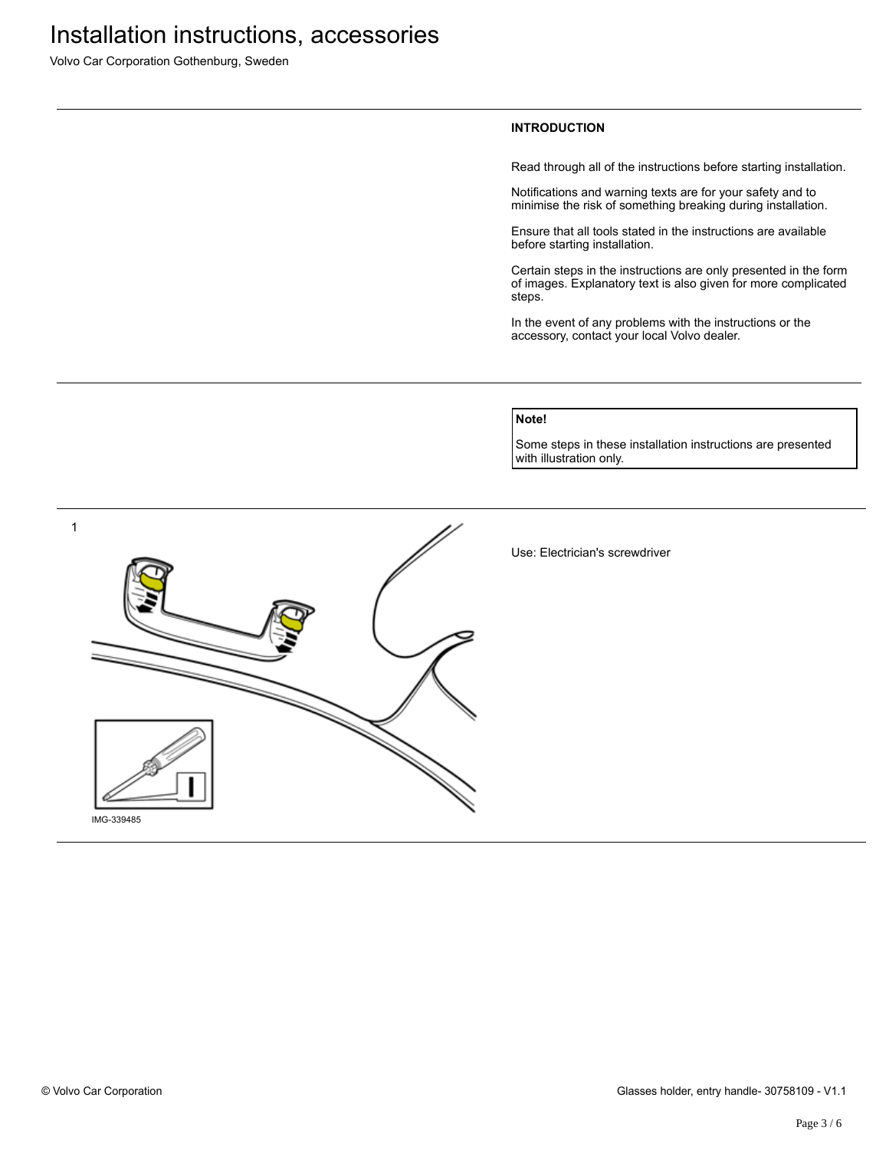Volvo Car Corporation Gothenburg, Sweden

### **INTRODUCTION**

Read through all of the instructions before starting installation.

Notifications and warning texts are for your safety and to minimise the risk of something breaking during installation.

Ensure that all tools stated in the instructions are available before starting installation.

Certain steps in the instructions are only presented in the form of images. Explanatory text is also given for more complicated steps.

In the event of any problems with the instructions or the accessory, contact your local Volvo dealer.

### **Note!**

Some steps in these installation instructions are presented with illustration only.

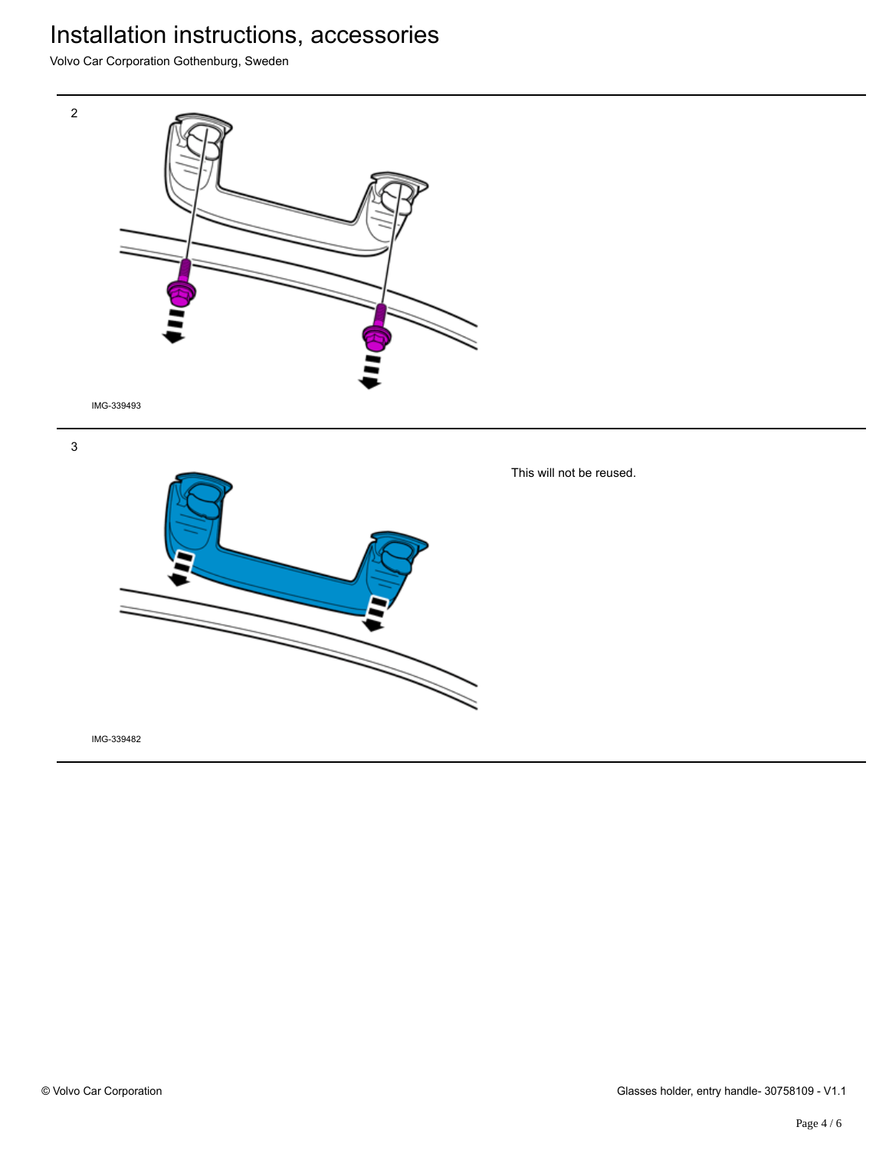Volvo Car Corporation Gothenburg, Sweden



3



IMG-339482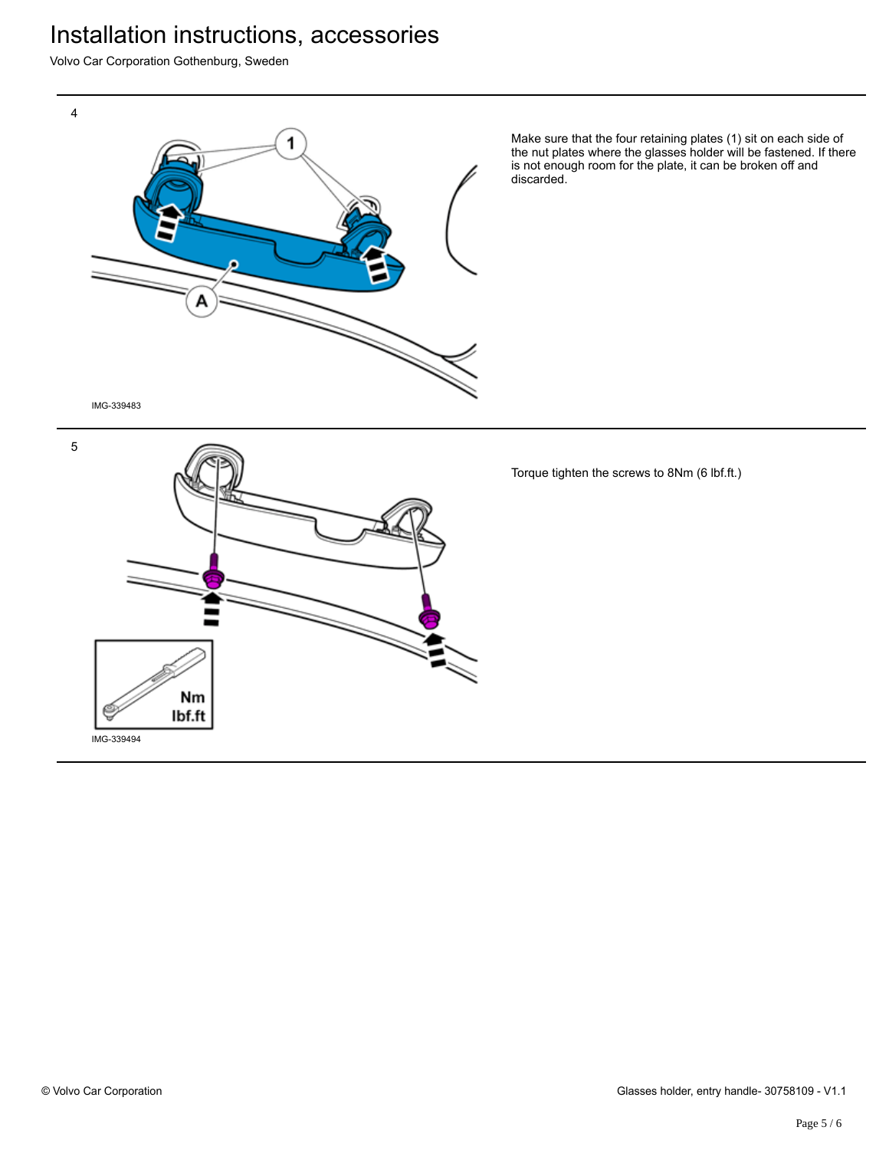Volvo Car Corporation Gothenburg, Sweden



Make sure that the four retaining plates (1) sit on each side of the nut plates where the glasses holder will be fastened. If there is not enough room for the plate, it can be broken off and discarded.

IMG-339483